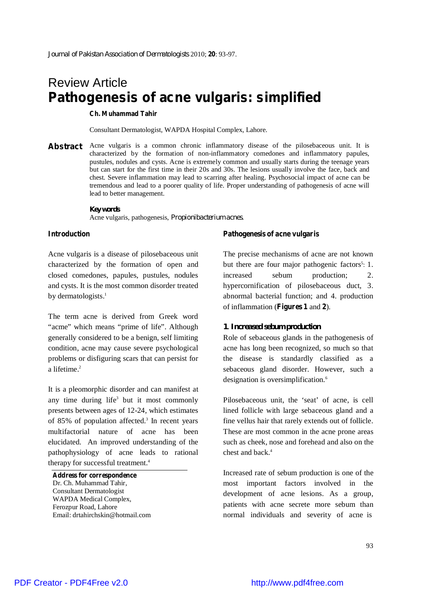# Review Article **Pathogenesis of acne vulgaris: simplified**

**Ch. Muhammad Tahir**

Consultant Dermatologist, WAPDA Hospital Complex, Lahore.

**Abstract** Acne vulgaris is a common chronic inflammatory disease of the pilosebaceous unit. It is characterized by the formation of non-inflammatory comedones and inflammatory papules, pustules, nodules and cysts. Acne is extremely common and usually starts during the teenage years but can start for the first time in their 20s and 30s. The lesions usually involve the face, back and chest. Severe inflammation may lead to scarring after healing. Psychosocial impact of acne can be tremendous and lead to a poorer quality of life. Proper understanding of pathogenesis of acne will lead to better management.

> *Key words* Acne vulgaris, pathogenesis, *Propionibacterium acnes*.

#### **Introduction**

Acne vulgaris is a disease of pilosebaceous unit characterized by the formation of open and closed comedones, papules, pustules, nodules and cysts. It is the most common disorder treated by dermatologists. 1

The term acne is derived from Greek word "acme" which means "prime of life". Although generally considered to be a benign, self limiting condition, acne may cause severe psychological problems or disfiguring scars that can persist for a lifetime. 2

It is a pleomorphic disorder and can manifest at any time during life 3 but it most commonly presents between ages of 12-24, which estimates of 85% of population affected. 3 In recent years multifactorial nature of acne has been elucidated. An improved understanding of the pathophysiology of acne leads to rational therapy for successful treatment. 4

**Address for correspondence** Dr. Ch. Muhammad Tahir, Consultant Dermatologist WAPDA Medical Complex, Ferozpur Road, Lahore Email: drtahirchskin@hotmail.com

#### **Pathogenesis of acne vulgaris**

The precise mechanisms of acne are not known but there are four major pathogenic factors<sup>5</sup>: 1. increased sebum production; 2. hypercornification of pilosebaceous duct, 3. abnormal bacterial function; and 4. production of inflammation (**Figures 1** and **2**).

#### *1. Increased sebum production*

Role of sebaceous glands in the pathogenesis of acne has long been recognized, so much so that the disease is standardly classified as a sebaceous gland disorder. However, such a designation is oversimplification. 6

Pilosebaceous unit, the 'seat' of acne, is cell lined follicle with large sebaceous gland and a fine vellus hair that rarely extends out of follicle. These are most common in the acne prone areas such as cheek, nose and forehead and also on the chest and back. 4

Increased rate of sebum production is one of the most important factors involved in the development of acne lesions. As a group, patients with acne secrete more sebum than normal individuals and severity of acne is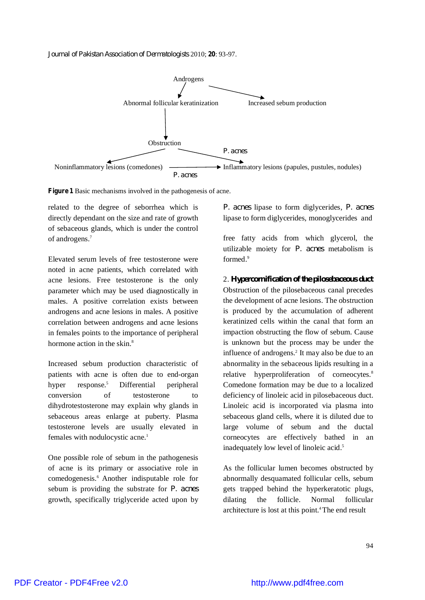*Journal of Pakistan Association of Dermatologists* 2010; **20**: 93-97.





related to the degree of seborrhea which is directly dependant on the size and rate of growth of sebaceous glands, which is under the control of androgens. 7

Elevated serum levels of free testosterone were noted in acne patients, which correlated with acne lesions. Free testosterone is the only parameter which may be used diagnostically in males. A positive correlation exists between androgens and acne lesions in males. A positive correlation between androgens and acne lesions in females points to the importance of peripheral hormone action in the skin.<sup>8</sup>

Increased sebum production characteristic of patients with acne is often due to end-organ hyper response.<sup>5</sup> <sup>5</sup> Differential peripheral conversion of testosterone to dihydrotestosterone may explain why glands in sebaceous areas enlarge at puberty. Plasma testosterone levels are usually elevated in females with nodulocystic acne. 1

One possible role of sebum in the pathogenesis of acne is its primary or associative role in comedogenesis. <sup>6</sup> Another indisputable role for sebum is providing the substrate for *P. acnes* growth, specifically triglyceride acted upon by

*P. acnes* lipase to form diglycerides, *P. acnes* lipase to form diglycerides, monoglycerides and

free fatty acids from which glycerol, the utilizable moiety for *P. acnes* metabolism is formed. 9

2. *Hypercornification of the pilosebaceous duct* Obstruction of the pilosebaceous canal precedes the development of acne lesions. The obstruction is produced by the accumulation of adherent keratinized cells within the canal that form an impaction obstructing the flow of sebum. Cause is unknown but the process may be under the influence of androgens. 2 It may also be due to an abnormality in the sebaceous lipids resulting in a relative hyperproliferation of corneocytes.<sup>8</sup> Comedone formation may be due to a localized deficiency of linoleic acid in pilosebaceous duct. Linoleic acid is incorporated via plasma into sebaceous gland cells, where it is diluted due to large volume of sebum and the ductal corneocytes are effectively bathed in an inadequately low level of linoleic acid. 5

As the follicular lumen becomes obstructed by abnormally desquamated follicular cells, sebum gets trapped behind the hyperkeratotic plugs, dilating the follicle. Normal follicular architecture is lost at this point. <sup>4</sup>The end result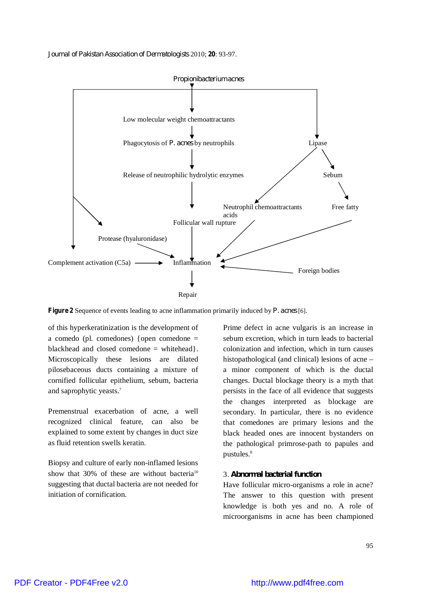*Journal of Pakistan Association of Dermatologists* 2010; **20**: 93-97.



**Figure 2** Sequence of events leading to acne inflammation primarily induced by *P. acnes* [6].

of this hyperkeratinization is the development of a comedo (pl. comedones) {open comedone = blackhead and closed comedone = whitehead}. Microscopically these lesions are dilated pilosebaceous ducts containing a mixture of cornified follicular epithelium, sebum, bacteria and saprophytic yeasts. 7

Premenstrual exacerbation of acne, a well recognized clinical feature, can also be explained to some extent by changes in duct size as fluid retention swells keratin.

Biopsy and culture of early non-inflamed lesions show that 30% of these are without bacteria<sup>10</sup> suggesting that ductal bacteria are not needed for initiation of cornification.

Prime defect in acne vulgaris is an increase in sebum excretion, which in turn leads to bacterial colonization and infection, which in turn causes histopathological (and clinical) lesions of acne – a minor component of which is the ductal changes. Ductal blockage theory is a myth that persists in the face of all evidence that suggests the changes interpreted as blockage are secondary. In particular, there is no evidence that comedones are primary lesions and the black headed ones are innocent bystanders on the pathological primrose-path to papules and pustules. 8

## 3. *Abnormal bacterial function*

Have follicular micro-organisms a role in acne? The answer to this question with present knowledge is both yes and no. A role of microorganisms in acne has been championed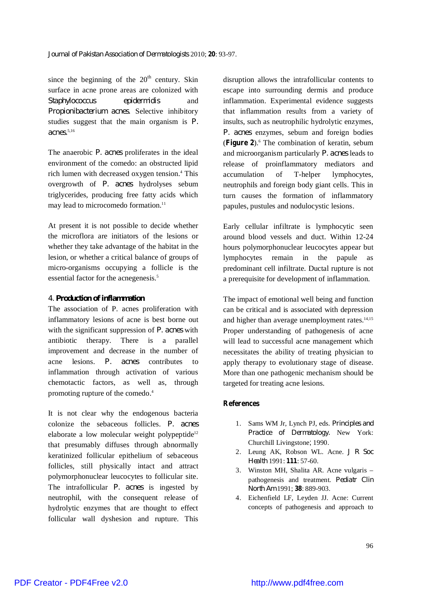since the beginning of the  $20<sup>th</sup>$  century. Skin surface in acne prone areas are colonized with *Staphylococcus epidermidis* and *Propionibacterium acnes*. Selective inhibitory studies suggest that the main organism is *P. acnes*. 5,16

The anaerobic *P. acnes* proliferates in the ideal environment of the comedo: an obstructed lipid rich lumen with decreased oxygen tension. <sup>4</sup> This overgrowth of *P. acnes* hydrolyses sebum triglycerides, producing free fatty acids which may lead to microcomedo formation.<sup>11</sup>

At present it is not possible to decide whether the microflora are initiators of the lesions or whether they take advantage of the habitat in the lesion, or whether a critical balance of groups of micro-organisms occupying a follicle is the essential factor for the acnegenesis. 5

### *4. Production of inflammation*

The association of P. acnes proliferation with inflammatory lesions of acne is best borne out with the significant suppression of *P. acnes* with antibiotic therapy. There is a parallel improvement and decrease in the number of acne lesions. *P. acnes* contributes to inflammation through activation of various chemotactic factors, as well as, through promoting rupture of the comedo. 4

It is not clear why the endogenous bacteria colonize the sebaceous follicles. *P. acnes* elaborate a low molecular weight polypeptide<sup>12</sup> that presumably diffuses through abnormally keratinized follicular epithelium of sebaceous follicles, still physically intact and attract polymorphonuclear leucocytes to follicular site. The intrafollicular *P. acnes* is ingested by neutrophil, with the consequent release of hydrolytic enzymes that are thought to effect follicular wall dyshesion and rupture. This disruption allows the intrafollicular contents to escape into surrounding dermis and produce inflammation. Experimental evidence suggests that inflammation results from a variety of insults, such as neutrophilic hydrolytic enzymes, *P. acnes* enzymes, sebum and foreign bodies (**Figure 2**). <sup>6</sup> The combination of keratin, sebum and microorganism particularly *P. acnes* leads to release of proinflammatory mediators and accumulation of T-helper lymphocytes, neutrophils and foreign body giant cells. This in turn causes the formation of inflammatory papules, pustules and nodulocystic lesions.

Early cellular infiltrate is lymphocytic seen around blood vessels and duct. Within 12-24 hours polymorphonuclear leucocytes appear but lymphocytes remain in the papule as predominant cell infiltrate. Ductal rupture is not a prerequisite for development of inflammation.

The impact of emotional well being and function can be critical and is associated with depression and higher than average unemployment rates.<sup>14,15</sup> Proper understanding of pathogenesis of acne will lead to successful acne management which necessitates the ability of treating physician to apply therapy to evolutionary stage of disease. More than one pathogenic mechanism should be targeted for treating acne lesions.

# **References**

- 1. Sams WM Jr, Lynch PJ, eds. *Principles and Practice of Dermatology.* New York: Churchill Livingstone; 1990.
- 2. Leung AK, Robson WL. Acne. *J R Soc Health* 1991: **111**: 57-60.
- 3. Winston MH, Shalita AR. Acne vulgaris pathogenesis and treatment. *Pediatr Clin North Am* 1991; **38**: 889-903.
- 4. Eichenfield LF, Leyden JJ. Acne: Current concepts of pathogenesis and approach to